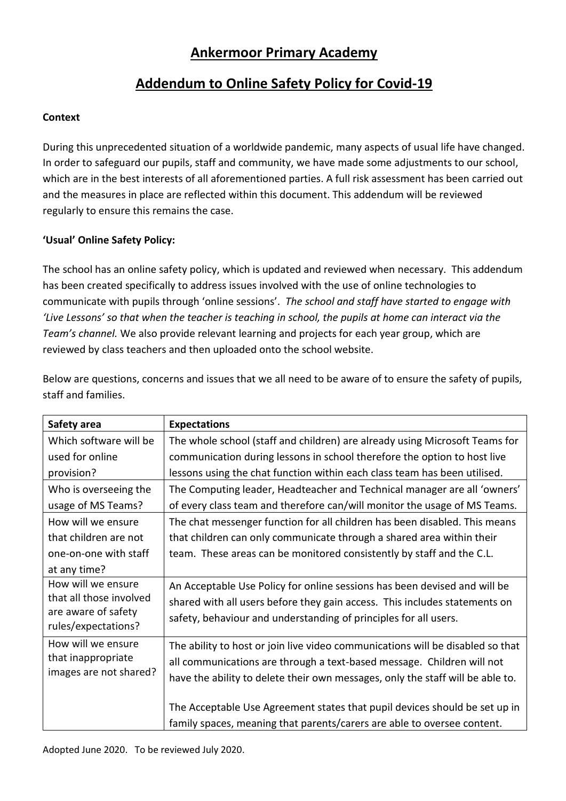# **Ankermoor Primary Academy**

# **Addendum to Online Safety Policy for Covid-19**

### **Context**

During this unprecedented situation of a worldwide pandemic, many aspects of usual life have changed. In order to safeguard our pupils, staff and community, we have made some adjustments to our school, which are in the best interests of all aforementioned parties. A full risk assessment has been carried out and the measures in place are reflected within this document. This addendum will be reviewed regularly to ensure this remains the case.

### **'Usual' Online Safety Policy:**

The school has an online safety policy, which is updated and reviewed when necessary. This addendum has been created specifically to address issues involved with the use of online technologies to communicate with pupils through 'online sessions'. *The school and staff have started to engage with 'Live Lessons' so that when the teacher is teaching in school, the pupils at home can interact via the Team's channel.* We also provide relevant learning and projects for each year group, which are reviewed by class teachers and then uploaded onto the school website.

| Safety area                                                        | <b>Expectations</b>                                                            |
|--------------------------------------------------------------------|--------------------------------------------------------------------------------|
| Which software will be                                             | The whole school (staff and children) are already using Microsoft Teams for    |
| used for online                                                    | communication during lessons in school therefore the option to host live       |
| provision?                                                         | lessons using the chat function within each class team has been utilised.      |
| Who is overseeing the                                              | The Computing leader, Headteacher and Technical manager are all 'owners'       |
| usage of MS Teams?                                                 | of every class team and therefore can/will monitor the usage of MS Teams.      |
| How will we ensure                                                 | The chat messenger function for all children has been disabled. This means     |
| that children are not                                              | that children can only communicate through a shared area within their          |
| one-on-one with staff                                              | team. These areas can be monitored consistently by staff and the C.L.          |
| at any time?                                                       |                                                                                |
| How will we ensure                                                 | An Acceptable Use Policy for online sessions has been devised and will be      |
| that all those involved<br>are aware of safety                     | shared with all users before they gain access. This includes statements on     |
|                                                                    | safety, behaviour and understanding of principles for all users.               |
| rules/expectations?                                                |                                                                                |
| How will we ensure<br>that inappropriate<br>images are not shared? | The ability to host or join live video communications will be disabled so that |
|                                                                    | all communications are through a text-based message. Children will not         |
|                                                                    | have the ability to delete their own messages, only the staff will be able to. |
|                                                                    |                                                                                |
|                                                                    | The Acceptable Use Agreement states that pupil devices should be set up in     |
|                                                                    | family spaces, meaning that parents/carers are able to oversee content.        |

Below are questions, concerns and issues that we all need to be aware of to ensure the safety of pupils, staff and families.

Adopted June 2020. To be reviewed July 2020.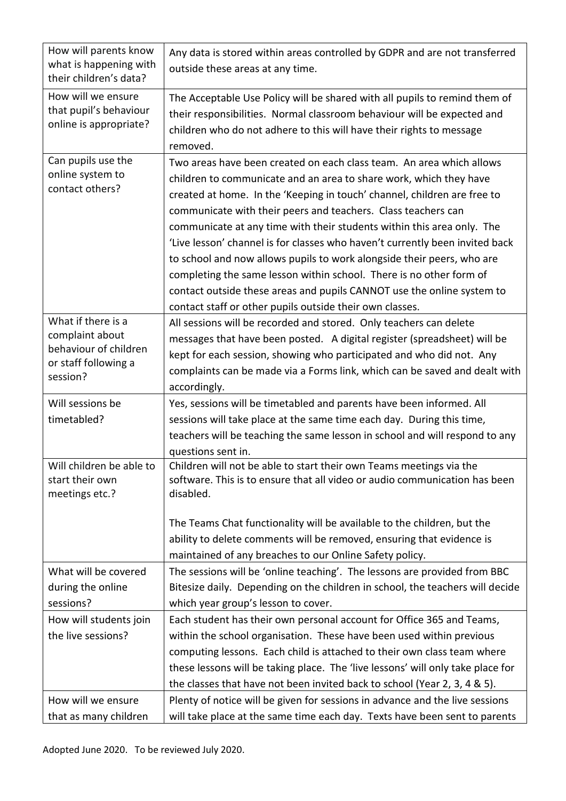| How will parents know<br>what is happening with | Any data is stored within areas controlled by GDPR and are not transferred              |
|-------------------------------------------------|-----------------------------------------------------------------------------------------|
| their children's data?                          | outside these areas at any time.                                                        |
| How will we ensure<br>that pupil's behaviour    | The Acceptable Use Policy will be shared with all pupils to remind them of              |
| online is appropriate?                          | their responsibilities. Normal classroom behaviour will be expected and                 |
|                                                 | children who do not adhere to this will have their rights to message<br>removed.        |
| Can pupils use the                              | Two areas have been created on each class team. An area which allows                    |
| online system to                                | children to communicate and an area to share work, which they have                      |
| contact others?                                 | created at home. In the 'Keeping in touch' channel, children are free to                |
|                                                 | communicate with their peers and teachers. Class teachers can                           |
|                                                 | communicate at any time with their students within this area only. The                  |
|                                                 | 'Live lesson' channel is for classes who haven't currently been invited back            |
|                                                 | to school and now allows pupils to work alongside their peers, who are                  |
|                                                 | completing the same lesson within school. There is no other form of                     |
|                                                 | contact outside these areas and pupils CANNOT use the online system to                  |
|                                                 | contact staff or other pupils outside their own classes.                                |
| What if there is a                              | All sessions will be recorded and stored. Only teachers can delete                      |
| complaint about<br>behaviour of children        | messages that have been posted. A digital register (spreadsheet) will be                |
| or staff following a                            | kept for each session, showing who participated and who did not. Any                    |
| session?                                        | complaints can be made via a Forms link, which can be saved and dealt with              |
|                                                 | accordingly.                                                                            |
| Will sessions be                                | Yes, sessions will be timetabled and parents have been informed. All                    |
| timetabled?                                     | sessions will take place at the same time each day. During this time,                   |
|                                                 | teachers will be teaching the same lesson in school and will respond to any             |
|                                                 | questions sent in.                                                                      |
| Will children be able to                        | Children will not be able to start their own Teams meetings via the                     |
| start their own<br>meetings etc.?               | software. This is to ensure that all video or audio communication has been<br>disabled. |
|                                                 |                                                                                         |
|                                                 | The Teams Chat functionality will be available to the children, but the                 |
|                                                 | ability to delete comments will be removed, ensuring that evidence is                   |
|                                                 | maintained of any breaches to our Online Safety policy.                                 |
| What will be covered                            | The sessions will be 'online teaching'. The lessons are provided from BBC               |
| during the online                               | Bitesize daily. Depending on the children in school, the teachers will decide           |
| sessions?                                       | which year group's lesson to cover.                                                     |
| How will students join                          | Each student has their own personal account for Office 365 and Teams,                   |
| the live sessions?                              | within the school organisation. These have been used within previous                    |
|                                                 | computing lessons. Each child is attached to their own class team where                 |
|                                                 | these lessons will be taking place. The 'live lessons' will only take place for         |
|                                                 | the classes that have not been invited back to school (Year 2, 3, 4 & 5).               |
| How will we ensure                              | Plenty of notice will be given for sessions in advance and the live sessions            |
| that as many children                           | will take place at the same time each day. Texts have been sent to parents              |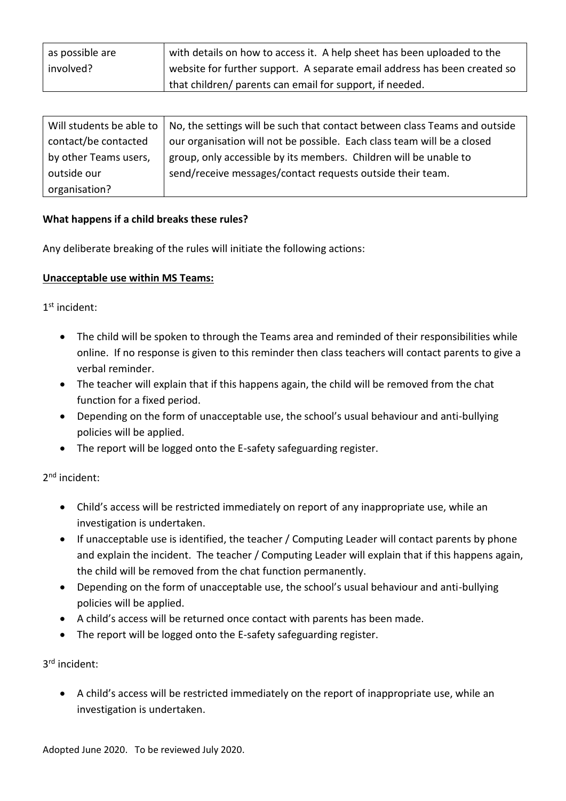| as possible are | with details on how to access it. A help sheet has been uploaded to the   |
|-----------------|---------------------------------------------------------------------------|
| involved?       | website for further support. A separate email address has been created so |
|                 | that children/ parents can email for support, if needed.                  |

| Will students be able to | No, the settings will be such that contact between class Teams and outside |
|--------------------------|----------------------------------------------------------------------------|
| contact/be contacted     | our organisation will not be possible. Each class team will be a closed    |
| by other Teams users,    | group, only accessible by its members. Children will be unable to          |
| outside our              | send/receive messages/contact requests outside their team.                 |
| organisation?            |                                                                            |

#### **What happens if a child breaks these rules?**

Any deliberate breaking of the rules will initiate the following actions:

#### **Unacceptable use within MS Teams:**

1 st incident:

- The child will be spoken to through the Teams area and reminded of their responsibilities while online. If no response is given to this reminder then class teachers will contact parents to give a verbal reminder.
- The teacher will explain that if this happens again, the child will be removed from the chat function for a fixed period.
- Depending on the form of unacceptable use, the school's usual behaviour and anti-bullying policies will be applied.
- The report will be logged onto the E-safety safeguarding register.

2<sup>nd</sup> incident:

- Child's access will be restricted immediately on report of any inappropriate use, while an investigation is undertaken.
- If unacceptable use is identified, the teacher / Computing Leader will contact parents by phone and explain the incident. The teacher / Computing Leader will explain that if this happens again, the child will be removed from the chat function permanently.
- Depending on the form of unacceptable use, the school's usual behaviour and anti-bullying policies will be applied.
- A child's access will be returned once contact with parents has been made.
- The report will be logged onto the E-safety safeguarding register.

3 rd incident:

 A child's access will be restricted immediately on the report of inappropriate use, while an investigation is undertaken.